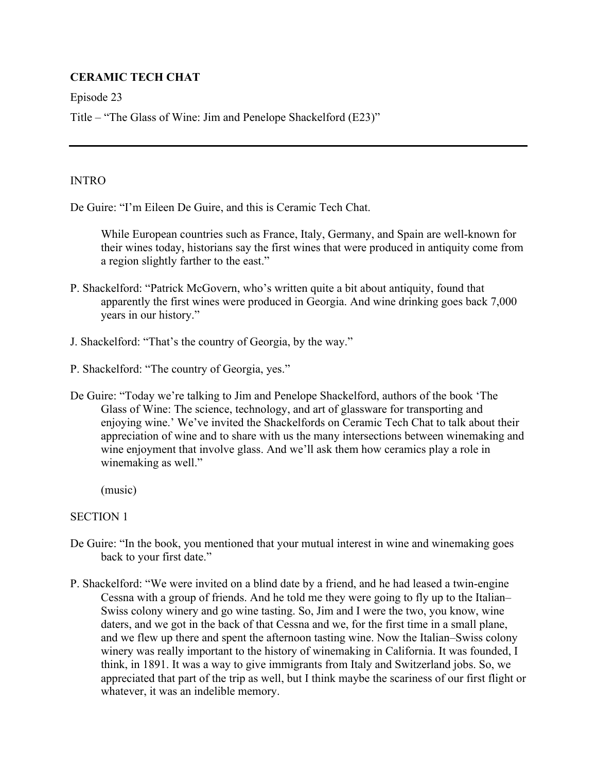# **CERAMIC TECH CHAT**

Episode 23

Title – "The Glass of Wine: Jim and Penelope Shackelford (E23)"

## **INTRO**

De Guire: "I'm Eileen De Guire, and this is Ceramic Tech Chat.

 While European countries such as France, Italy, Germany, and Spain are well-known for their wines today, historians say the first wines that were produced in antiquity come from a region slightly farther to the east."

- P. Shackelford: "Patrick McGovern, who's written quite a bit about antiquity, found that apparently the first wines were produced in Georgia. And wine drinking goes back 7,000 years in our history."
- J. Shackelford: "That's the country of Georgia, by the way."
- P. Shackelford: "The country of Georgia, yes."
- De Guire: "Today we're talking to Jim and Penelope Shackelford, authors of the book 'The Glass of Wine: The science, technology, and art of glassware for transporting and enjoying wine.' We've invited the Shackelfords on Ceramic Tech Chat to talk about their appreciation of wine and to share with us the many intersections between winemaking and wine enjoyment that involve glass. And we'll ask them how ceramics play a role in winemaking as well."

(music)

# SECTION 1

- De Guire: "In the book, you mentioned that your mutual interest in wine and winemaking goes back to your first date."
- P. Shackelford: "We were invited on a blind date by a friend, and he had leased a twin-engine Cessna with a group of friends. And he told me they were going to fly up to the Italian– Swiss colony winery and go wine tasting. So, Jim and I were the two, you know, wine daters, and we got in the back of that Cessna and we, for the first time in a small plane, and we flew up there and spent the afternoon tasting wine. Now the Italian–Swiss colony winery was really important to the history of winemaking in California. It was founded, I think, in 1891. It was a way to give immigrants from Italy and Switzerland jobs. So, we appreciated that part of the trip as well, but I think maybe the scariness of our first flight or whatever, it was an indelible memory.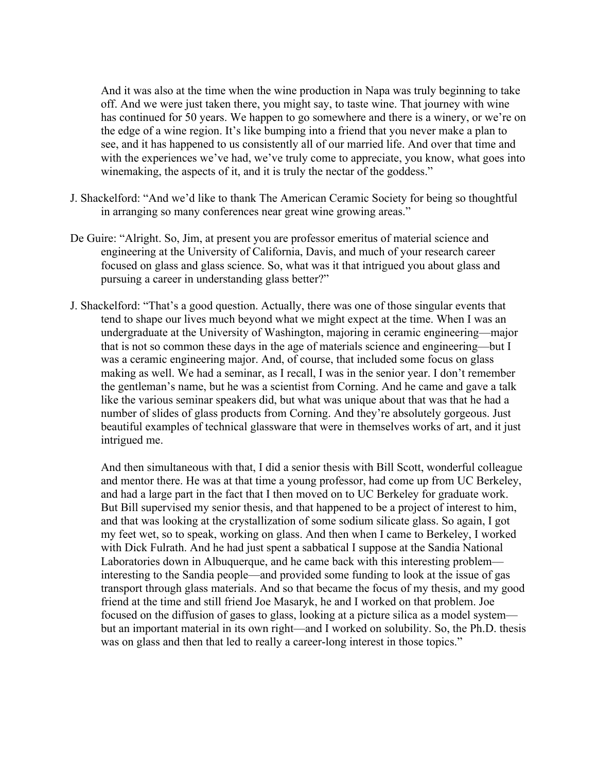And it was also at the time when the wine production in Napa was truly beginning to take off. And we were just taken there, you might say, to taste wine. That journey with wine has continued for 50 years. We happen to go somewhere and there is a winery, or we're on the edge of a wine region. It's like bumping into a friend that you never make a plan to see, and it has happened to us consistently all of our married life. And over that time and with the experiences we've had, we've truly come to appreciate, you know, what goes into winemaking, the aspects of it, and it is truly the nectar of the goddess."

- J. Shackelford: "And we'd like to thank The American Ceramic Society for being so thoughtful in arranging so many conferences near great wine growing areas."
- De Guire: "Alright. So, Jim, at present you are professor emeritus of material science and engineering at the University of California, Davis, and much of your research career focused on glass and glass science. So, what was it that intrigued you about glass and pursuing a career in understanding glass better?"
- J. Shackelford: "That's a good question. Actually, there was one of those singular events that tend to shape our lives much beyond what we might expect at the time. When I was an undergraduate at the University of Washington, majoring in ceramic engineering—major that is not so common these days in the age of materials science and engineering—but I was a ceramic engineering major. And, of course, that included some focus on glass making as well. We had a seminar, as I recall, I was in the senior year. I don't remember the gentleman's name, but he was a scientist from Corning. And he came and gave a talk like the various seminar speakers did, but what was unique about that was that he had a number of slides of glass products from Corning. And they're absolutely gorgeous. Just beautiful examples of technical glassware that were in themselves works of art, and it just intrigued me.

And then simultaneous with that, I did a senior thesis with Bill Scott, wonderful colleague and mentor there. He was at that time a young professor, had come up from UC Berkeley, and had a large part in the fact that I then moved on to UC Berkeley for graduate work. But Bill supervised my senior thesis, and that happened to be a project of interest to him, and that was looking at the crystallization of some sodium silicate glass. So again, I got my feet wet, so to speak, working on glass. And then when I came to Berkeley, I worked with Dick Fulrath. And he had just spent a sabbatical I suppose at the Sandia National Laboratories down in Albuquerque, and he came back with this interesting problem interesting to the Sandia people—and provided some funding to look at the issue of gas transport through glass materials. And so that became the focus of my thesis, and my good friend at the time and still friend Joe Masaryk, he and I worked on that problem. Joe focused on the diffusion of gases to glass, looking at a picture silica as a model system but an important material in its own right—and I worked on solubility. So, the Ph.D. thesis was on glass and then that led to really a career-long interest in those topics."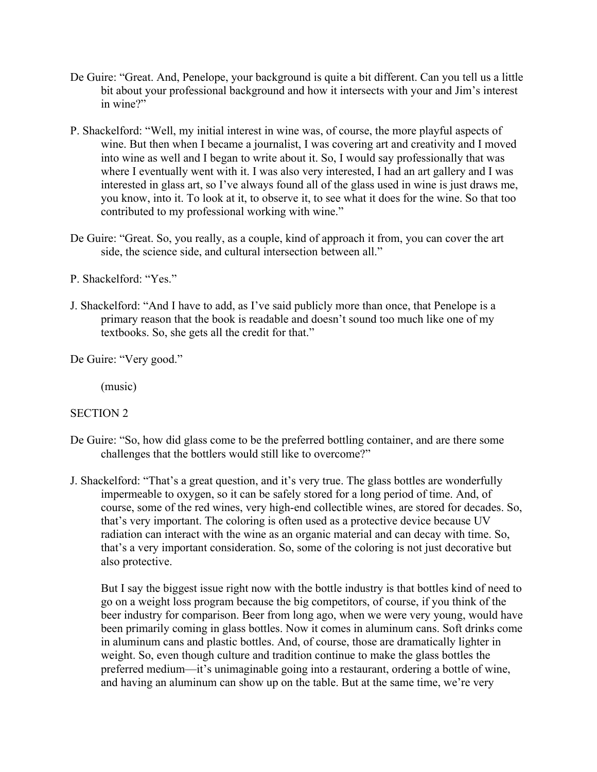- De Guire: "Great. And, Penelope, your background is quite a bit different. Can you tell us a little bit about your professional background and how it intersects with your and Jim's interest in wine?"
- P. Shackelford: "Well, my initial interest in wine was, of course, the more playful aspects of wine. But then when I became a journalist, I was covering art and creativity and I moved into wine as well and I began to write about it. So, I would say professionally that was where I eventually went with it. I was also very interested, I had an art gallery and I was interested in glass art, so I've always found all of the glass used in wine is just draws me, you know, into it. To look at it, to observe it, to see what it does for the wine. So that too contributed to my professional working with wine."
- De Guire: "Great. So, you really, as a couple, kind of approach it from, you can cover the art side, the science side, and cultural intersection between all."
- P. Shackelford: "Yes."
- J. Shackelford: "And I have to add, as I've said publicly more than once, that Penelope is a primary reason that the book is readable and doesn't sound too much like one of my textbooks. So, she gets all the credit for that."

De Guire: "Very good."

(music)

#### SECTION 2

- De Guire: "So, how did glass come to be the preferred bottling container, and are there some challenges that the bottlers would still like to overcome?"
- J. Shackelford: "That's a great question, and it's very true. The glass bottles are wonderfully impermeable to oxygen, so it can be safely stored for a long period of time. And, of course, some of the red wines, very high-end collectible wines, are stored for decades. So, that's very important. The coloring is often used as a protective device because UV radiation can interact with the wine as an organic material and can decay with time. So, that's a very important consideration. So, some of the coloring is not just decorative but also protective.

But I say the biggest issue right now with the bottle industry is that bottles kind of need to go on a weight loss program because the big competitors, of course, if you think of the beer industry for comparison. Beer from long ago, when we were very young, would have been primarily coming in glass bottles. Now it comes in aluminum cans. Soft drinks come in aluminum cans and plastic bottles. And, of course, those are dramatically lighter in weight. So, even though culture and tradition continue to make the glass bottles the preferred medium—it's unimaginable going into a restaurant, ordering a bottle of wine, and having an aluminum can show up on the table. But at the same time, we're very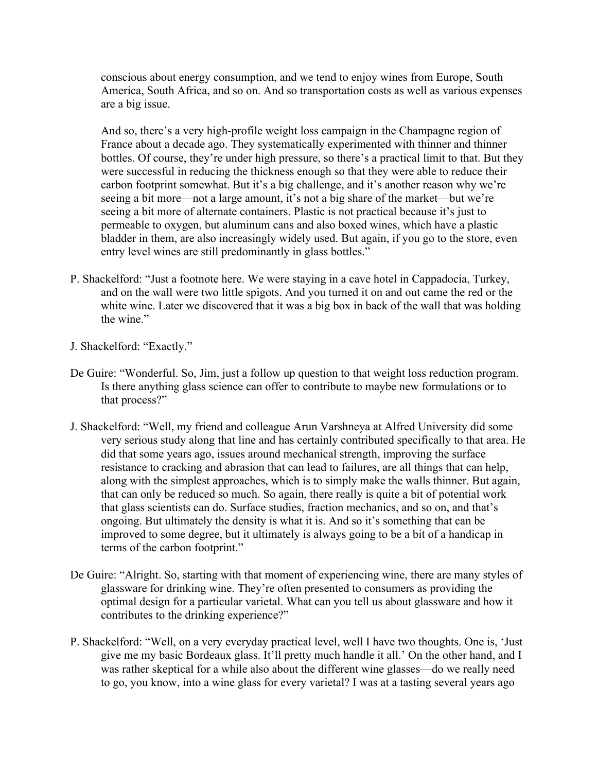conscious about energy consumption, and we tend to enjoy wines from Europe, South America, South Africa, and so on. And so transportation costs as well as various expenses are a big issue.

And so, there's a very high-profile weight loss campaign in the Champagne region of France about a decade ago. They systematically experimented with thinner and thinner bottles. Of course, they're under high pressure, so there's a practical limit to that. But they were successful in reducing the thickness enough so that they were able to reduce their carbon footprint somewhat. But it's a big challenge, and it's another reason why we're seeing a bit more—not a large amount, it's not a big share of the market—but we're seeing a bit more of alternate containers. Plastic is not practical because it's just to permeable to oxygen, but aluminum cans and also boxed wines, which have a plastic bladder in them, are also increasingly widely used. But again, if you go to the store, even entry level wines are still predominantly in glass bottles."

- P. Shackelford: "Just a footnote here. We were staying in a cave hotel in Cappadocia, Turkey, and on the wall were two little spigots. And you turned it on and out came the red or the white wine. Later we discovered that it was a big box in back of the wall that was holding the wine."
- J. Shackelford: "Exactly."
- De Guire: "Wonderful. So, Jim, just a follow up question to that weight loss reduction program. Is there anything glass science can offer to contribute to maybe new formulations or to that process?"
- J. Shackelford: "Well, my friend and colleague Arun Varshneya at Alfred University did some very serious study along that line and has certainly contributed specifically to that area. He did that some years ago, issues around mechanical strength, improving the surface resistance to cracking and abrasion that can lead to failures, are all things that can help, along with the simplest approaches, which is to simply make the walls thinner. But again, that can only be reduced so much. So again, there really is quite a bit of potential work that glass scientists can do. Surface studies, fraction mechanics, and so on, and that's ongoing. But ultimately the density is what it is. And so it's something that can be improved to some degree, but it ultimately is always going to be a bit of a handicap in terms of the carbon footprint."
- De Guire: "Alright. So, starting with that moment of experiencing wine, there are many styles of glassware for drinking wine. They're often presented to consumers as providing the optimal design for a particular varietal. What can you tell us about glassware and how it contributes to the drinking experience?"
- P. Shackelford: "Well, on a very everyday practical level, well I have two thoughts. One is, 'Just give me my basic Bordeaux glass. It'll pretty much handle it all.' On the other hand, and I was rather skeptical for a while also about the different wine glasses—do we really need to go, you know, into a wine glass for every varietal? I was at a tasting several years ago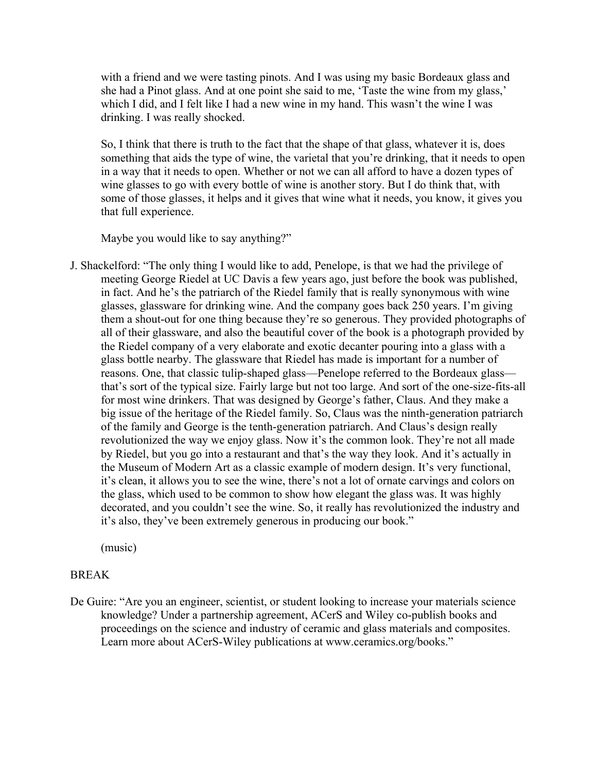with a friend and we were tasting pinots. And I was using my basic Bordeaux glass and she had a Pinot glass. And at one point she said to me, 'Taste the wine from my glass,' which I did, and I felt like I had a new wine in my hand. This wasn't the wine I was drinking. I was really shocked.

So, I think that there is truth to the fact that the shape of that glass, whatever it is, does something that aids the type of wine, the varietal that you're drinking, that it needs to open in a way that it needs to open. Whether or not we can all afford to have a dozen types of wine glasses to go with every bottle of wine is another story. But I do think that, with some of those glasses, it helps and it gives that wine what it needs, you know, it gives you that full experience.

Maybe you would like to say anything?"

J. Shackelford: "The only thing I would like to add, Penelope, is that we had the privilege of meeting George Riedel at UC Davis a few years ago, just before the book was published, in fact. And he's the patriarch of the Riedel family that is really synonymous with wine glasses, glassware for drinking wine. And the company goes back 250 years. I'm giving them a shout-out for one thing because they're so generous. They provided photographs of all of their glassware, and also the beautiful cover of the book is a photograph provided by the Riedel company of a very elaborate and exotic decanter pouring into a glass with a glass bottle nearby. The glassware that Riedel has made is important for a number of reasons. One, that classic tulip-shaped glass—Penelope referred to the Bordeaux glass that's sort of the typical size. Fairly large but not too large. And sort of the one-size-fits-all for most wine drinkers. That was designed by George's father, Claus. And they make a big issue of the heritage of the Riedel family. So, Claus was the ninth-generation patriarch of the family and George is the tenth-generation patriarch. And Claus's design really revolutionized the way we enjoy glass. Now it's the common look. They're not all made by Riedel, but you go into a restaurant and that's the way they look. And it's actually in the Museum of Modern Art as a classic example of modern design. It's very functional, it's clean, it allows you to see the wine, there's not a lot of ornate carvings and colors on the glass, which used to be common to show how elegant the glass was. It was highly decorated, and you couldn't see the wine. So, it really has revolutionized the industry and it's also, they've been extremely generous in producing our book."

(music)

#### BREAK

De Guire: "Are you an engineer, scientist, or student looking to increase your materials science knowledge? Under a partnership agreement, ACerS and Wiley co-publish books and proceedings on the science and industry of ceramic and glass materials and composites. Learn more about ACerS-Wiley publications at www.ceramics.org/books."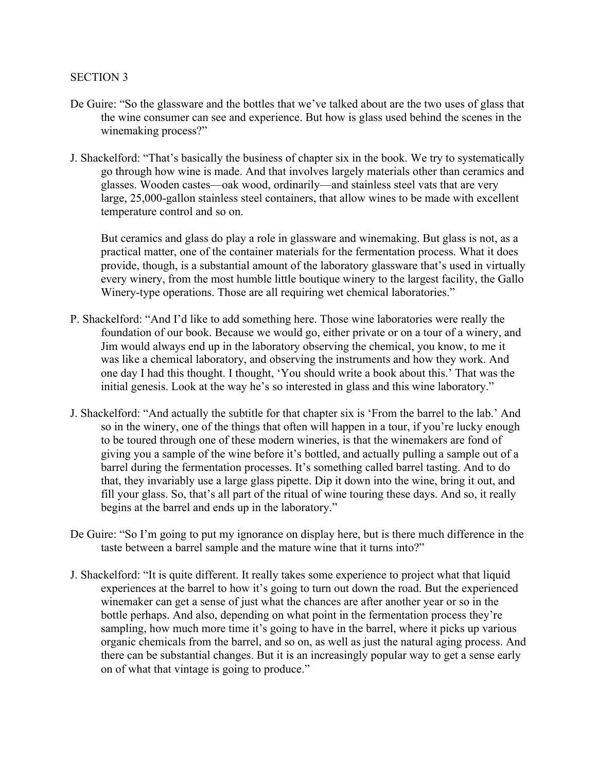#### SECTION 3

- De Guire: "So the glassware and the bottles that we've talked about are the two uses of glass that the wine consumer can see and experience. But how is glass used behind the scenes in the winemaking process?"
- J. Shackelford: "That's basically the business of chapter six in the book. We try to systematically go through how wine is made. And that involves largely materials other than ceramics and glasses. Wooden castes—oak wood, ordinarily—and stainless steel vats that are very large, 25,000-gallon stainless steel containers, that allow wines to be made with excellent temperature control and so on.

But ceramics and glass do play a role in glassware and winemaking. But glass is not, as a practical matter, one of the container materials for the fermentation process. What it does provide, though, is a substantial amount of the laboratory glassware that's used in virtually every winery, from the most humble little boutique winery to the largest facility, the Gallo Winery-type operations. Those are all requiring wet chemical laboratories."

- P. Shackelford: "And I'd like to add something here. Those wine laboratories were really the foundation of our book. Because we would go, either private or on a tour of a winery, and Jim would always end up in the laboratory observing the chemical, you know, to me it was like a chemical laboratory, and observing the instruments and how they work. And one day I had this thought. I thought, 'You should write a book about this.' That was the initial genesis. Look at the way he's so interested in glass and this wine laboratory."
- J. Shackelford: "And actually the subtitle for that chapter six is 'From the barrel to the lab.' And so in the winery, one of the things that often will happen in a tour, if you're lucky enough to be toured through one of these modern wineries, is that the winemakers are fond of giving you a sample of the wine before it's bottled, and actually pulling a sample out of a barrel during the fermentation processes. It's something called barrel tasting. And to do that, they invariably use a large glass pipette. Dip it down into the wine, bring it out, and fill your glass. So, that's all part of the ritual of wine touring these days. And so, it really begins at the barrel and ends up in the laboratory."
- De Guire: "So I'm going to put my ignorance on display here, but is there much difference in the taste between a barrel sample and the mature wine that it turns into?"
- J. Shackelford: "It is quite different. It really takes some experience to project what that liquid experiences at the barrel to how it's going to turn out down the road. But the experienced winemaker can get a sense of just what the chances are after another year or so in the bottle perhaps. And also, depending on what point in the fermentation process they're sampling, how much more time it's going to have in the barrel, where it picks up various organic chemicals from the barrel, and so on, as well as just the natural aging process. And there can be substantial changes. But it is an increasingly popular way to get a sense early on of what that vintage is going to produce."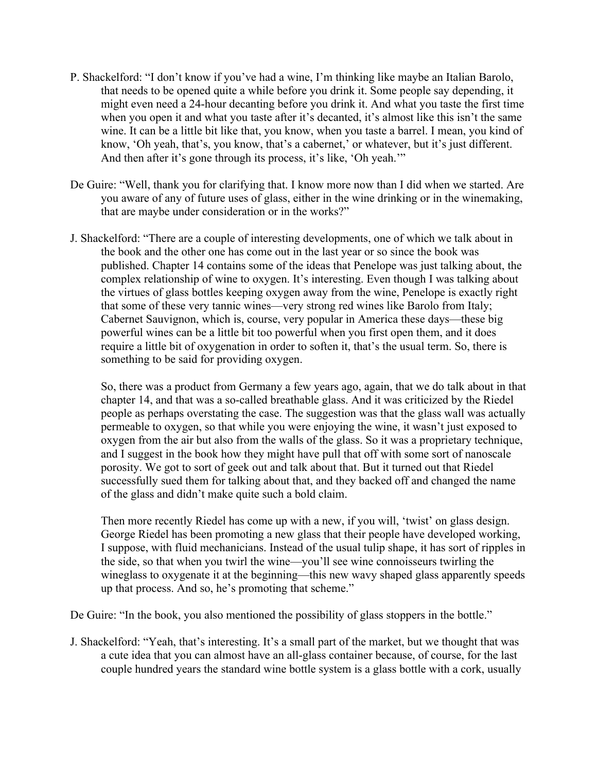- P. Shackelford: "I don't know if you've had a wine, I'm thinking like maybe an Italian Barolo, that needs to be opened quite a while before you drink it. Some people say depending, it might even need a 24-hour decanting before you drink it. And what you taste the first time when you open it and what you taste after it's decanted, it's almost like this isn't the same wine. It can be a little bit like that, you know, when you taste a barrel. I mean, you kind of know, 'Oh yeah, that's, you know, that's a cabernet,' or whatever, but it's just different. And then after it's gone through its process, it's like, 'Oh yeah.'"
- De Guire: "Well, thank you for clarifying that. I know more now than I did when we started. Are you aware of any of future uses of glass, either in the wine drinking or in the winemaking, that are maybe under consideration or in the works?"
- J. Shackelford: "There are a couple of interesting developments, one of which we talk about in the book and the other one has come out in the last year or so since the book was published. Chapter 14 contains some of the ideas that Penelope was just talking about, the complex relationship of wine to oxygen. It's interesting. Even though I was talking about the virtues of glass bottles keeping oxygen away from the wine, Penelope is exactly right that some of these very tannic wines—very strong red wines like Barolo from Italy; Cabernet Sauvignon, which is, course, very popular in America these days—these big powerful wines can be a little bit too powerful when you first open them, and it does require a little bit of oxygenation in order to soften it, that's the usual term. So, there is something to be said for providing oxygen.

So, there was a product from Germany a few years ago, again, that we do talk about in that chapter 14, and that was a so-called breathable glass. And it was criticized by the Riedel people as perhaps overstating the case. The suggestion was that the glass wall was actually permeable to oxygen, so that while you were enjoying the wine, it wasn't just exposed to oxygen from the air but also from the walls of the glass. So it was a proprietary technique, and I suggest in the book how they might have pull that off with some sort of nanoscale porosity. We got to sort of geek out and talk about that. But it turned out that Riedel successfully sued them for talking about that, and they backed off and changed the name of the glass and didn't make quite such a bold claim.

Then more recently Riedel has come up with a new, if you will, 'twist' on glass design. George Riedel has been promoting a new glass that their people have developed working, I suppose, with fluid mechanicians. Instead of the usual tulip shape, it has sort of ripples in the side, so that when you twirl the wine—you'll see wine connoisseurs twirling the wineglass to oxygenate it at the beginning—this new wavy shaped glass apparently speeds up that process. And so, he's promoting that scheme."

De Guire: "In the book, you also mentioned the possibility of glass stoppers in the bottle."

J. Shackelford: "Yeah, that's interesting. It's a small part of the market, but we thought that was a cute idea that you can almost have an all-glass container because, of course, for the last couple hundred years the standard wine bottle system is a glass bottle with a cork, usually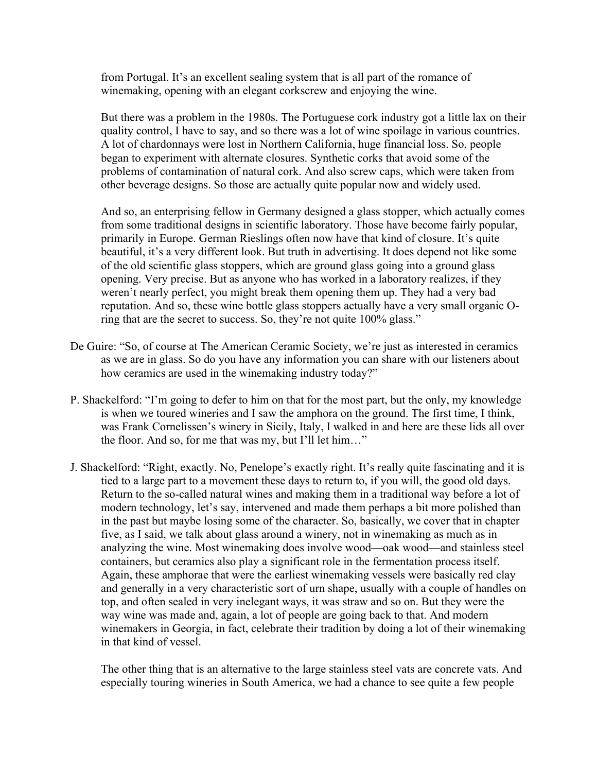from Portugal. It's an excellent sealing system that is all part of the romance of winemaking, opening with an elegant corkscrew and enjoying the wine.

But there was a problem in the 1980s. The Portuguese cork industry got a little lax on their quality control, I have to say, and so there was a lot of wine spoilage in various countries. A lot of chardonnays were lost in Northern California, huge financial loss. So, people began to experiment with alternate closures. Synthetic corks that avoid some of the problems of contamination of natural cork. And also screw caps, which were taken from other beverage designs. So those are actually quite popular now and widely used.

And so, an enterprising fellow in Germany designed a glass stopper, which actually comes from some traditional designs in scientific laboratory. Those have become fairly popular, primarily in Europe. German Rieslings often now have that kind of closure. It's quite beautiful, it's a very different look. But truth in advertising. It does depend not like some of the old scientific glass stoppers, which are ground glass going into a ground glass opening. Very precise. But as anyone who has worked in a laboratory realizes, if they weren't nearly perfect, you might break them opening them up. They had a very bad reputation. And so, these wine bottle glass stoppers actually have a very small organic Oring that are the secret to success. So, they're not quite 100% glass."

- De Guire: "So, of course at The American Ceramic Society, we're just as interested in ceramics as we are in glass. So do you have any information you can share with our listeners about how ceramics are used in the winemaking industry today?"
- P. Shackelford: "I'm going to defer to him on that for the most part, but the only, my knowledge is when we toured wineries and I saw the amphora on the ground. The first time, I think, was Frank Cornelissen's winery in Sicily, Italy, I walked in and here are these lids all over the floor. And so, for me that was my, but I'll let him…"
- J. Shackelford: "Right, exactly. No, Penelope's exactly right. It's really quite fascinating and it is tied to a large part to a movement these days to return to, if you will, the good old days. Return to the so-called natural wines and making them in a traditional way before a lot of modern technology, let's say, intervened and made them perhaps a bit more polished than in the past but maybe losing some of the character. So, basically, we cover that in chapter five, as I said, we talk about glass around a winery, not in winemaking as much as in analyzing the wine. Most winemaking does involve wood—oak wood—and stainless steel containers, but ceramics also play a significant role in the fermentation process itself. Again, these amphorae that were the earliest winemaking vessels were basically red clay and generally in a very characteristic sort of urn shape, usually with a couple of handles on top, and often sealed in very inelegant ways, it was straw and so on. But they were the way wine was made and, again, a lot of people are going back to that. And modern winemakers in Georgia, in fact, celebrate their tradition by doing a lot of their winemaking in that kind of vessel.

The other thing that is an alternative to the large stainless steel vats are concrete vats. And especially touring wineries in South America, we had a chance to see quite a few people